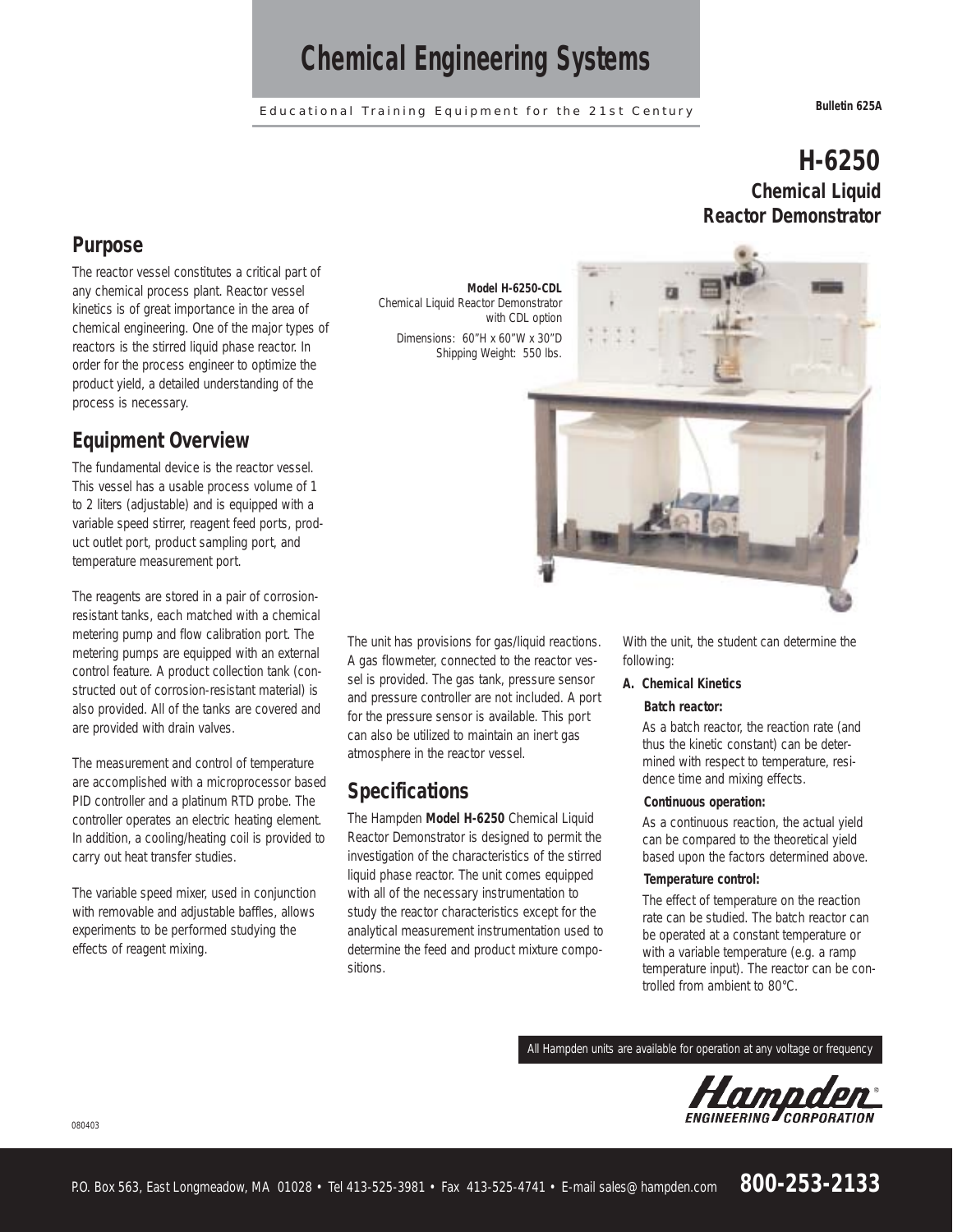## *Chemical Engineering Systems*

Educational Training Equipment for the 21st Century **Bulletin 625A**

## **H-6250 Chemical Liquid Reactor Demonstrator**

### **Purpose**

The reactor vessel constitutes a critical part of any chemical process plant. Reactor vessel kinetics is of great importance in the area of chemical engineering. One of the major types of reactors is the stirred liquid phase reactor. In order for the process engineer to optimize the product yield, a detailed understanding of the process is necessary.

### **Equipment Overview**

The fundamental device is the reactor vessel. This vessel has a usable process volume of 1 to 2 liters (adjustable) and is equipped with a variable speed stirrer, reagent feed ports, product outlet port, product sampling port, and temperature measurement port.

The reagents are stored in a pair of corrosionresistant tanks, each matched with a chemical metering pump and flow calibration port. The metering pumps are equipped with an external control feature. A product collection tank (constructed out of corrosion-resistant material) is also provided. All of the tanks are covered and are provided with drain valves.

The measurement and control of temperature are accomplished with a microprocessor based PID controller and a platinum RTD probe. The controller operates an electric heating element. In addition, a cooling/heating coil is provided to carry out heat transfer studies.

The variable speed mixer, used in conjunction with removable and adjustable baffles, allows experiments to be performed studying the effects of reagent mixing.

080403

**Model H-6250-CDL** Chemical Liquid Reactor Demonstrator with CDL option Dimensions: 60"H x 60"W x 30"D

Shipping Weight: 550 lbs.

The unit has provisions for gas/liquid reactions. A gas flowmeter, connected to the reactor vessel is provided. The gas tank, pressure sensor and pressure controller are not included. A port for the pressure sensor is available. This port can also be utilized to maintain an inert gas atmosphere in the reactor vessel.

### **Specifications**

The Hampden **Model H-6250** Chemical Liquid Reactor Demonstrator is designed to permit the investigation of the characteristics of the stirred liquid phase reactor. The unit comes equipped with all of the necessary instrumentation to study the reactor characteristics except for the analytical measurement instrumentation used to determine the feed and product mixture compositions.

With the unit, the student can determine the following:

### **A. Chemical Kinetics**

### **Batch reactor:**

As a batch reactor, the reaction rate (and thus the kinetic constant) can be determined with respect to temperature, residence time and mixing effects.

#### **Continuous operation:**

As a continuous reaction, the actual yield can be compared to the theoretical yield based upon the factors determined above.

### **Temperature control:**

The effect of temperature on the reaction rate can be studied. The batch reactor can be operated at a constant temperature or with a variable temperature (e.g. a ramp temperature input). The reactor can be controlled from ambient to 80°C.

All Hampden units are available for operation at any voltage or frequency